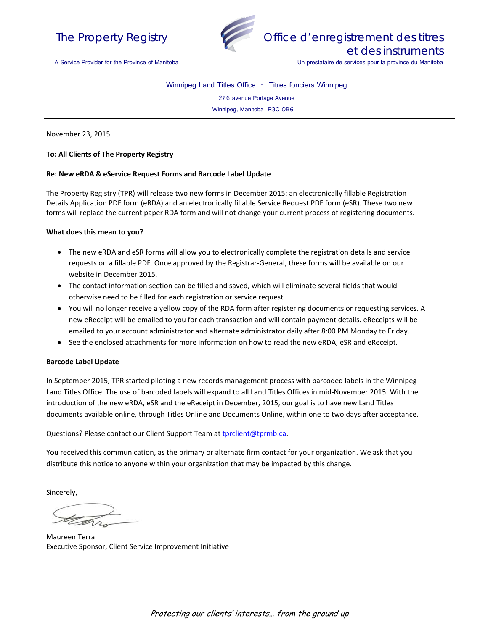



A Service Provider for the Province of Manitoba

Winnipeg Land Titles Office - Titres fonciers Winnipeg

276 avenue Portage Avenue

Winnipeg, Manitoba R3C 0B6

November 23, 2015

### **To: All Clients of The Property Registry**

#### **Re: New eRDA & eService Request Forms and Barcode Label Update**

The Property Registry (TPR) will release two new forms in December 2015: an electronically fillable Registration Details Application PDF form (eRDA) and an electronically fillable Service Request PDF form (eSR). These two new forms will replace the current paper RDA form and will not change your current process of registering documents.

#### **What does this mean to you?**

- The new eRDA and eSR forms will allow you to electronically complete the registration details and service requests on a fillable PDF. Once approved by the Registrar-General, these forms will be available on our website in December 2015.
- The contact information section can be filled and saved, which will eliminate several fields that would otherwise need to be filled for each registration or service request.
- You will no longer receive a yellow copy of the RDA form after registering documents or requesting services. A new eReceipt will be emailed to you for each transaction and will contain payment details. eReceipts will be emailed to your account administrator and alternate administrator daily after 8:00 PM Monday to Friday.
- See the enclosed attachments for more information on how to read the new eRDA, eSR and eReceipt.

#### **Barcode Label Update**

In September 2015, TPR started piloting a new records management process with barcoded labels in the Winnipeg Land Titles Office. The use of barcoded labels will expand to all Land Titles Offices in mid-November 2015. With the introduction of the new eRDA, eSR and the eReceipt in December, 2015, our goal is to have new Land Titles documents available online, through Titles Online and Documents Online, within one to two days after acceptance.

Questions? Please contact our Client Support Team at [tprclient@tprmb.ca.](mailto:tprclient@tprmb.ca)

You received this communication, as the primary or alternate firm contact for your organization. We ask that you distribute this notice to anyone within your organization that may be impacted by this change.

Sincerely,

Maureen Terra Executive Sponsor, Client Service Improvement Initiative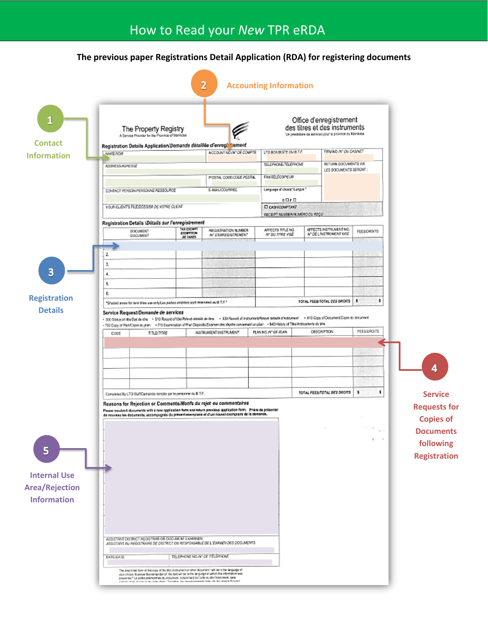## **The previous paper Registrations Detail Application (RDA) for registering documents**

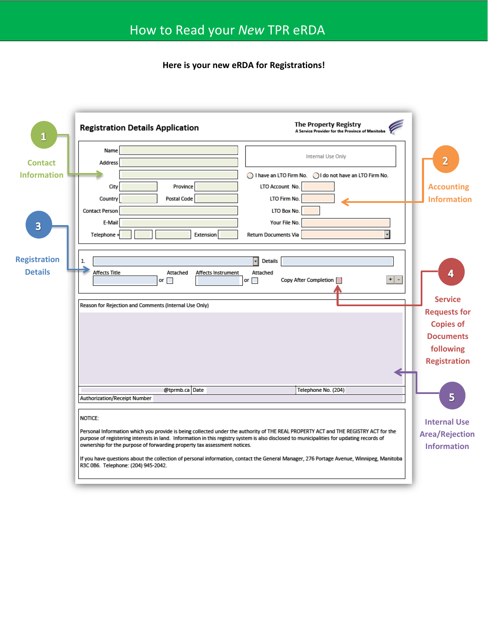**Here is your new eRDA for Registrations!**

| $\mathbf{1}$                          | The Property Registry<br><b>Registration Details Application</b><br>A Service Provider for the Province of Manitoba                                                                                                                                                                                                                                          |                                         |  |
|---------------------------------------|--------------------------------------------------------------------------------------------------------------------------------------------------------------------------------------------------------------------------------------------------------------------------------------------------------------------------------------------------------------|-----------------------------------------|--|
| <b>Contact</b>                        | Name<br>Internal Use Only<br>Address                                                                                                                                                                                                                                                                                                                         | $\overline{2}$                          |  |
| <b>Information</b>                    | I have an LTO Firm No. I do not have an LTO Firm No.<br>LTO Account No.<br>City<br>Province<br>Postal Code<br>Country<br>LTO Firm No.<br>Contact Person<br>LTO Box No.                                                                                                                                                                                       | <b>Accounting</b><br><b>Information</b> |  |
| $\overline{\mathbf{3}}$               | Your File No.<br>E-Mail<br>Telephone +<br>Extension<br>Return Documents Via                                                                                                                                                                                                                                                                                  |                                         |  |
| <b>Registration</b><br><b>Details</b> | H<br>Details<br>1.<br><b>Affects Title</b><br>Attached<br>Affects Instrument<br>Attached<br>$\lceil \cdot \rceil$<br>Copy After Completion<br>or $\Box$<br>or $\Box$                                                                                                                                                                                         | 4                                       |  |
|                                       | Reason for Rejection and Comments (Internal Use Only)                                                                                                                                                                                                                                                                                                        | <b>Service</b>                          |  |
|                                       |                                                                                                                                                                                                                                                                                                                                                              | <b>Requests for</b><br><b>Copies of</b> |  |
|                                       |                                                                                                                                                                                                                                                                                                                                                              | <b>Documents</b>                        |  |
|                                       |                                                                                                                                                                                                                                                                                                                                                              | following                               |  |
|                                       |                                                                                                                                                                                                                                                                                                                                                              | <b>Registration</b>                     |  |
|                                       |                                                                                                                                                                                                                                                                                                                                                              |                                         |  |
|                                       |                                                                                                                                                                                                                                                                                                                                                              |                                         |  |
|                                       | @tprmb.ca Date<br>Telephone No. (204)<br>Authorization/Receipt Number                                                                                                                                                                                                                                                                                        | 5                                       |  |
|                                       |                                                                                                                                                                                                                                                                                                                                                              |                                         |  |
|                                       | NOTICE:                                                                                                                                                                                                                                                                                                                                                      | <b>Internal Use</b>                     |  |
|                                       | Personal Information which you provide is being collected under the authority of THE REAL PROPERTY ACT and THE REGISTRY ACT for the<br>purpose of registering interests in land. Information in this registry system is also disclosed to municipalities for updating records of<br>ownership for the purpose of forwarding property tax assessment notices. |                                         |  |
|                                       | If you have questions about the collection of personal information, contact the General Manager, 276 Portage Avenue, Winnipeg, Manitoba<br>R3C 0B6. Telephone: (204) 945-2042.                                                                                                                                                                               |                                         |  |
|                                       |                                                                                                                                                                                                                                                                                                                                                              |                                         |  |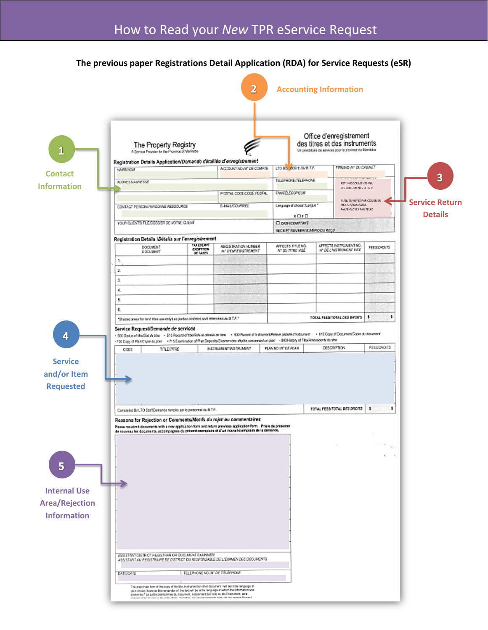## **The previous paper Registrations Detail Application (RDA) for Service Requests (eSR)**

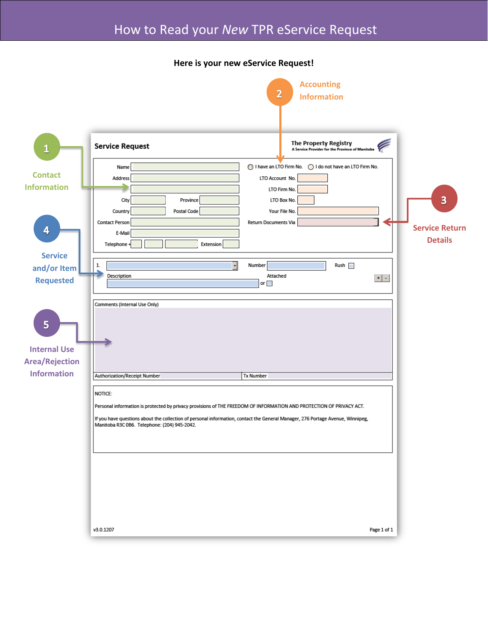## **Here is your new eService Request!**

|                       |                                                                                                                                | <b>Accounting</b><br>$\overline{\mathbf{2}}$<br><b>Information</b>       |                         |  |  |
|-----------------------|--------------------------------------------------------------------------------------------------------------------------------|--------------------------------------------------------------------------|-------------------------|--|--|
|                       |                                                                                                                                |                                                                          |                         |  |  |
| $\mathbf{1}$          | <b>Service Request</b>                                                                                                         | The Property Registry<br>A Service Provider for the Province of Manitoba |                         |  |  |
| <b>Contact</b>        | Name                                                                                                                           | ◯ I have an LTO Firm No. ◯ I do not have an LTO Firm No.                 |                         |  |  |
| <b>Information</b>    | Address                                                                                                                        | LTO Account No.<br>LTO Firm No.                                          |                         |  |  |
|                       | Province<br>City                                                                                                               | LTO Box No.                                                              | $\overline{\mathbf{3}}$ |  |  |
|                       | Postal Code<br>Country                                                                                                         | Your File No.                                                            |                         |  |  |
|                       | <b>Contact Person</b>                                                                                                          | Return Documents Via                                                     |                         |  |  |
| 4                     | E-Mail                                                                                                                         |                                                                          | <b>Service Return</b>   |  |  |
|                       | Extension<br>Telephone +                                                                                                       |                                                                          | <b>Details</b>          |  |  |
| <b>Service</b>        |                                                                                                                                |                                                                          |                         |  |  |
| and/or Item           | 1.<br>۰<br>Description                                                                                                         | Number<br>Rush<br>Attached                                               |                         |  |  |
| <b>Requested</b>      |                                                                                                                                | or $\Box$                                                                | $+$ $-$                 |  |  |
|                       | Comments (Internal Use Only)                                                                                                   |                                                                          |                         |  |  |
|                       |                                                                                                                                |                                                                          |                         |  |  |
| 5                     |                                                                                                                                |                                                                          |                         |  |  |
|                       |                                                                                                                                |                                                                          |                         |  |  |
| <b>Internal Use</b>   |                                                                                                                                |                                                                          |                         |  |  |
| <b>Area/Rejection</b> |                                                                                                                                |                                                                          |                         |  |  |
| <b>Information</b>    | Authorization/Receipt Number                                                                                                   | <b>Tx Number</b>                                                         |                         |  |  |
|                       | NOTICE:                                                                                                                        |                                                                          |                         |  |  |
|                       | Personal information is protected by privacy provisions of THE FREEDOM OF INFORMATION AND PROTECTION OF PRIVACY ACT.           |                                                                          |                         |  |  |
|                       | If you have questions about the collection of personal information, contact the General Manager, 276 Portage Avenue, Winnipeg, |                                                                          |                         |  |  |
|                       | Manitoba R3C 0B6. Telephone: (204) 945-2042.                                                                                   |                                                                          |                         |  |  |
|                       |                                                                                                                                |                                                                          |                         |  |  |
|                       |                                                                                                                                |                                                                          |                         |  |  |
|                       |                                                                                                                                |                                                                          |                         |  |  |
|                       |                                                                                                                                |                                                                          |                         |  |  |
|                       |                                                                                                                                |                                                                          |                         |  |  |
|                       |                                                                                                                                |                                                                          |                         |  |  |
|                       |                                                                                                                                |                                                                          |                         |  |  |
|                       | v3.0.1207                                                                                                                      |                                                                          | Page 1 of 1             |  |  |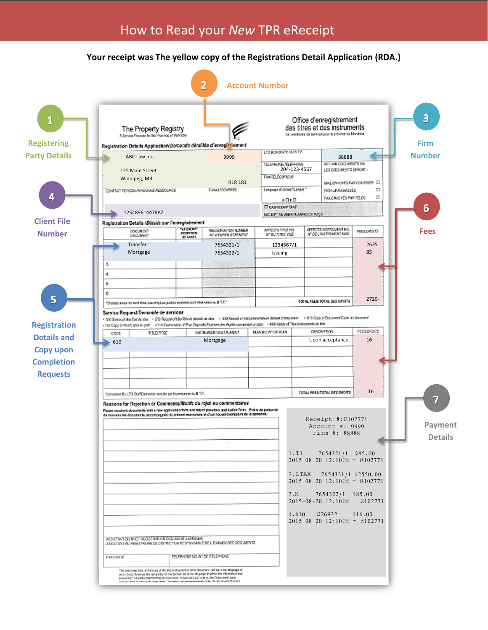## **Your receipt was The yellow copy of the Registrations Detail Application (RDA.)**